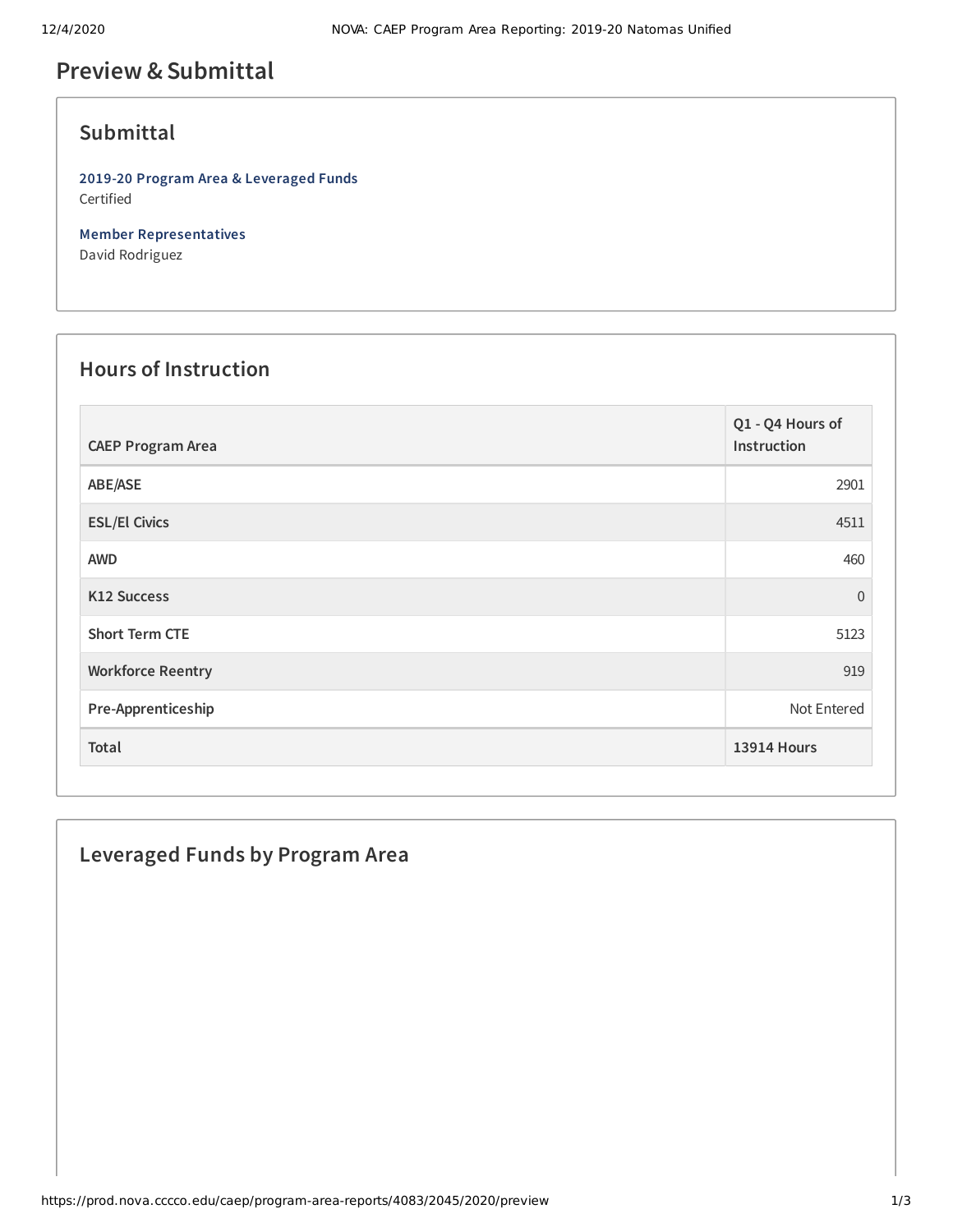# **Preview &Submittal**

### **Submittal**

**2019-20 Program Area & Leveraged Funds** Certified

**Member Representatives** David Rodriguez

#### **Hours of Instruction**

| <b>CAEP Program Area</b> | Q1 - Q4 Hours of<br>Instruction |
|--------------------------|---------------------------------|
| ABE/ASE                  | 2901                            |
| <b>ESL/El Civics</b>     | 4511                            |
| <b>AWD</b>               | 460                             |
| K12 Success              | $\mathbf 0$                     |
| <b>Short Term CTE</b>    | 5123                            |
| <b>Workforce Reentry</b> | 919                             |
| Pre-Apprenticeship       | Not Entered                     |
| Total                    | <b>13914 Hours</b>              |

### **Leveraged Funds by Program Area**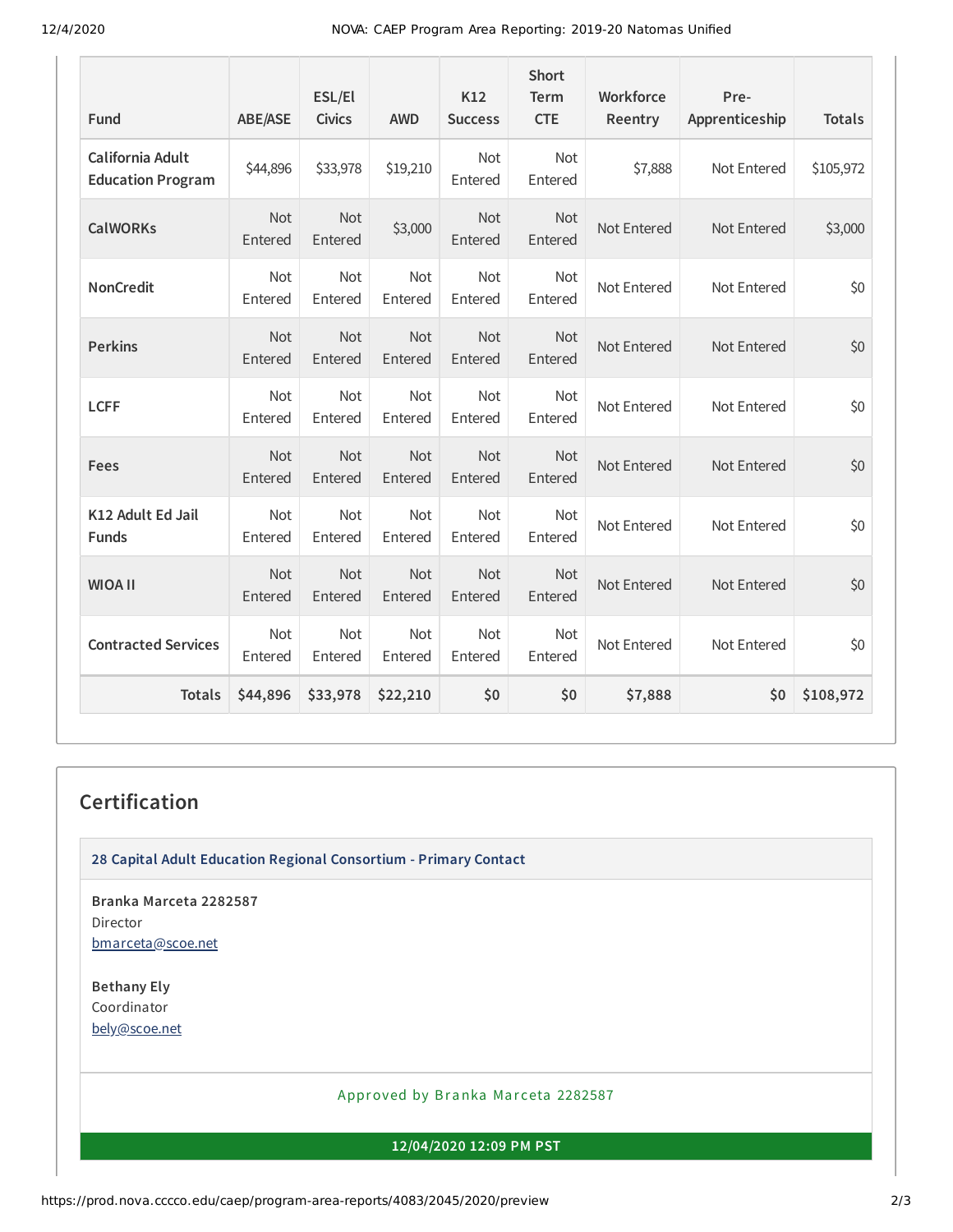12/4/2020 NOVA: CAEP Program Area Reporting: 2019-20 Natomas Unified

| <b>Fund</b>                                  | <b>ABE/ASE</b>        | ESL/El<br><b>Civics</b> | <b>AWD</b>            | K12<br><b>Success</b> | <b>Short</b><br>Term<br><b>CTE</b> | Workforce<br>Reentry | Pre-<br>Apprenticeship | <b>Totals</b> |
|----------------------------------------------|-----------------------|-------------------------|-----------------------|-----------------------|------------------------------------|----------------------|------------------------|---------------|
| California Adult<br><b>Education Program</b> | \$44,896              | \$33,978                | \$19,210              | <b>Not</b><br>Entered | <b>Not</b><br>Entered              | \$7,888              | Not Entered            | \$105,972     |
| <b>CalWORKs</b>                              | Not<br>Entered        | <b>Not</b><br>Entered   | \$3,000               | <b>Not</b><br>Entered | Not<br>Entered                     | Not Entered          | Not Entered            | \$3,000       |
| <b>NonCredit</b>                             | <b>Not</b><br>Entered | <b>Not</b><br>Entered   | <b>Not</b><br>Entered | <b>Not</b><br>Entered | <b>Not</b><br>Entered              | Not Entered          | Not Entered            | \$0           |
| <b>Perkins</b>                               | Not<br>Entered        | Not<br>Entered          | Not<br>Entered        | Not<br>Entered        | <b>Not</b><br>Entered              | Not Entered          | Not Entered            | \$0           |
| <b>LCFF</b>                                  | Not<br>Entered        | Not<br>Entered          | Not<br>Entered        | Not<br>Entered        | Not<br>Entered                     | Not Entered          | Not Entered            | \$0           |
| Fees                                         | <b>Not</b><br>Entered | Not<br>Entered          | <b>Not</b><br>Entered | Not<br>Entered        | <b>Not</b><br>Entered              | Not Entered          | Not Entered            | \$0           |
| K12 Adult Ed Jail<br><b>Funds</b>            | Not<br>Entered        | Not<br>Entered          | <b>Not</b><br>Entered | Not<br>Entered        | Not<br>Entered                     | Not Entered          | Not Entered            | \$0           |
| <b>WIOA II</b>                               | Not<br>Entered        | Not<br>Entered          | Not<br>Entered        | Not<br>Entered        | Not<br>Entered                     | Not Entered          | Not Entered            | \$0           |
| <b>Contracted Services</b>                   | Not<br>Entered        | <b>Not</b><br>Entered   | <b>Not</b><br>Entered | <b>Not</b><br>Entered | <b>Not</b><br>Entered              | Not Entered          | Not Entered            | \$0           |
| <b>Totals</b>                                | \$44,896              | \$33,978                | \$22,210              | \$0                   | \$0                                | \$7,888              | \$0                    | \$108,972     |

# **Certification**

**28 Capital Adult Education Regional Consortium - Primary Contact**

**Branka Marceta 2282587** Director [bmarceta@scoe.net](mailto:bmarceta@scoe.net)

**Bethany Ely** Coordinator [bely@scoe.net](mailto:bely@scoe.net)

Approved by Branka Marceta 2282587

**12/04/2020 12:09 PM PST**